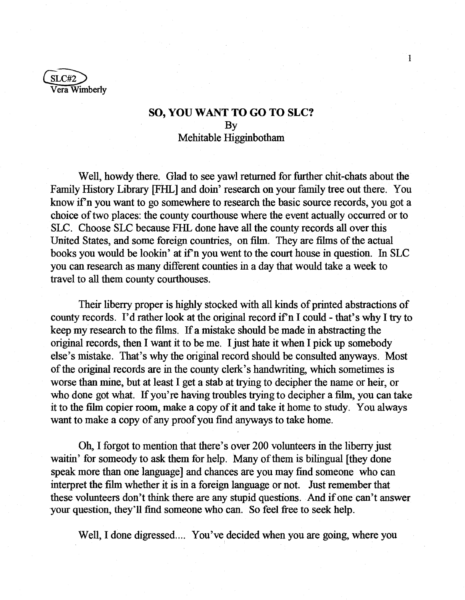$SLC#2$ Vera Wimberly

## **SO, YOU WANT TO GO TO SLC?**  By Mehitable Higginbotham

 $\mathbf{1}$ 

Well, howdy there. Glad to see yawl returned for further chit-chats about the Family History Library [FHL] and doin' research on your family tree out there. You know if n you want to go somewhere to research the basic source records, you got a choice of two places: the county courthouse where the event actually occurred or to SLC. Choose SLC because FHL done have all the county records all over this United States, and some foreign countries, on film. They are films of the actual books you would be lookin' at if n you went to the court house in question. In SLC you can research as many different counties in a day that would take a week to travel to all them county courthouses.

Their liberry proper is highly stocked with all kinds of printed abstractions of county records. I'd rather look at the original record if n I could - that's why I try to keep my research to the films. If a mistake should be made in abstracting the original records, then I want it to be me. I just hate it when I pick up somebody else's mistake. That's why the original record should be consulted anyways. Most of the original records are in the county clerk's handwriting, which sometimes is worse than mine, but at least I get a stab at trying to decipher the name or heir, or who done got what. If you're having troubles trying to decipher a film, you can take it to the film copier room, make a copy of it and take it home to study. You always want to make a copy of any proof you find anyways to take home.

Oh, I forgot to mention that there's over 200 volunteers in the liberry just waitin' for someody to ask them for help. Many of them is bilingual [they done speak more than one language] and chances are you may find someone who can interpret the film whether it is in a foreign language or not. Just remember that these volunteers don't think there are any stupid questions. And if one can't answer your question, they'll find someone who can. So feel free to seek help.

Well, I done digressed.... You've decided when you are going, where you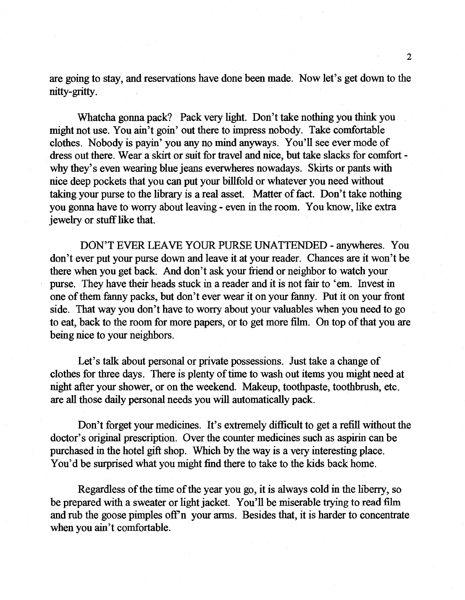are going to stay, and reservations have done been made. Now let's get down to the nitty-gritty.

Whatcha gonna pack? Pack very light. Don't take nothing you think you might not use. You ain't goin' out there to impress nobody. Take comfortable clothes. Nobody is payin' you any no mind anyways. You'll see ever mode of dress out there. Wear a skirt or suit for travel and nice, but take slacks for comfort why they's even wearing blue jeans everwheres nowadays. Skirts or pants with nice deep pockets that you can put your billfold or whatever you need without taking your purse to the library is a real asset. Matter of fact. Don't take nothing you gonna have to worry about leaving - even in the room. You know, like extra jewelry or stuff like that.

DON'T EVER LEAVE YOUR PURSE UNATTENDED - anywheres. You don't ever put your purse down and leave it at your reader. Chances are it won't be there when you get back. And don't ask your friend or neighbor to watch your purse. They have their heads stuck in a reader and it is not fair to 'em. Invest in one of them fanny packs, but don't ever wear it on your fanny. Put it on your front side. That way you don't have to worry about your valuables when you need to go to eat, back to the room for more papers, or to get more film. On top of that you are being nice to your neighbors.

Let's talk about personal or private possessions. Just take a change of clothes for three days. There is plenty of time to wash out items you might need at night after your shower, or on the weekend. Makeup, toothpaste, toothbrush, etc. are all those daily personal needs you will automatically pack.

Don't forget your medicines. It's extremely difficult to get a refill without the doctor's original prescription. Over the counter medicines such as aspirin can be purchased in the hotel gift shop. Which by the way is a very interesting place. You'd be surprised what you might find there to take to the kids back home.

Regardless of the time of the year you go, it is always cold in the liberry, so be prepared with a sweater or light jacket. You'll be miserable trying to read film and rub the goose pimples off'n your arms. Besides that, it is harder to concentrate when you ain't comfortable.